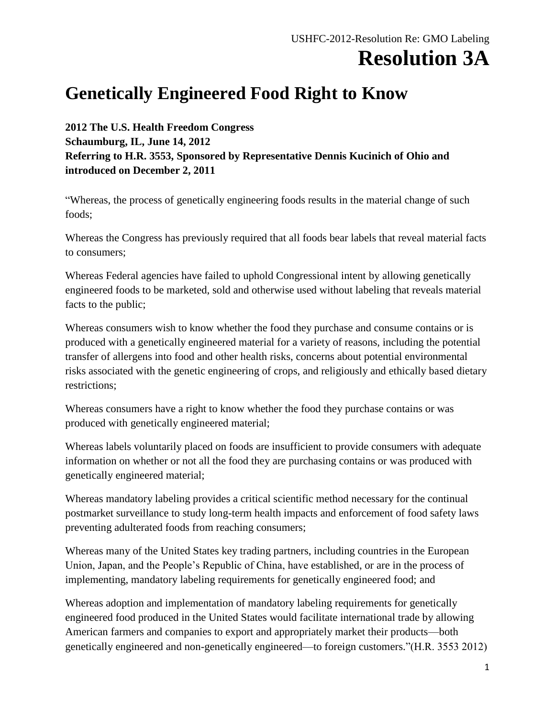## **Resolution 3A**

## **Genetically Engineered Food Right to Know**

**2012 The U.S. Health Freedom Congress Schaumburg, IL, June 14, 2012 Referring to H.R. 3553, Sponsored by Representative Dennis Kucinich of Ohio and introduced on December 2, 2011**

"Whereas, the process of genetically engineering foods results in the material change of such foods;

Whereas the Congress has previously required that all foods bear labels that reveal material facts to consumers;

Whereas Federal agencies have failed to uphold Congressional intent by allowing genetically engineered foods to be marketed, sold and otherwise used without labeling that reveals material facts to the public;

Whereas consumers wish to know whether the food they purchase and consume contains or is produced with a genetically engineered material for a variety of reasons, including the potential transfer of allergens into food and other health risks, concerns about potential environmental risks associated with the genetic engineering of crops, and religiously and ethically based dietary restrictions;

Whereas consumers have a right to know whether the food they purchase contains or was produced with genetically engineered material;

Whereas labels voluntarily placed on foods are insufficient to provide consumers with adequate information on whether or not all the food they are purchasing contains or was produced with genetically engineered material;

Whereas mandatory labeling provides a critical scientific method necessary for the continual postmarket surveillance to study long-term health impacts and enforcement of food safety laws preventing adulterated foods from reaching consumers;

Whereas many of the United States key trading partners, including countries in the European Union, Japan, and the People's Republic of China, have established, or are in the process of implementing, mandatory labeling requirements for genetically engineered food; and

Whereas adoption and implementation of mandatory labeling requirements for genetically engineered food produced in the United States would facilitate international trade by allowing American farmers and companies to export and appropriately market their products—both genetically engineered and non-genetically engineered—to foreign customers."(H.R. 3553 2012)